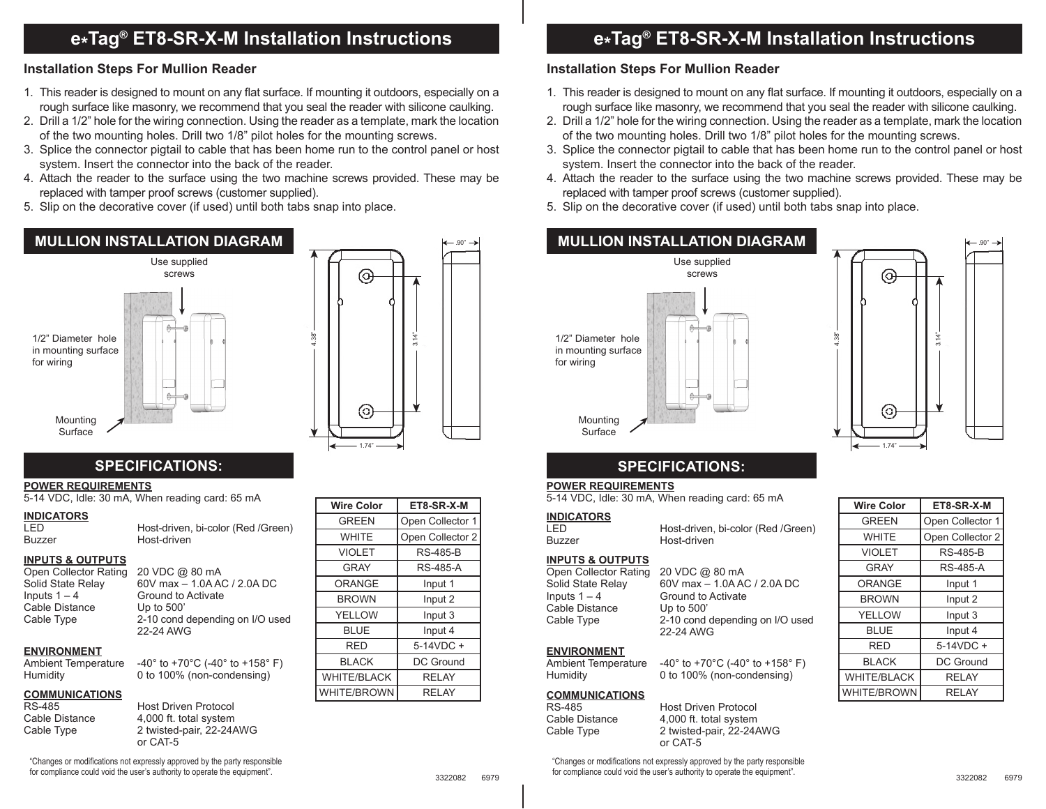# **e\*Tag® ET8-SR-X-M Installation Instructions**

### **Installation Steps For Mullion Reader**

- 1. This reader is designed to mount on any flat surface. If mounting it outdoors, especially on a rough surface like masonry, we recommend that you seal the reader with silicone caulking.
- 2. Drill a 1/2" hole for the wiring connection. Using the reader as a template, mark the location of the two mounting holes. Drill two 1/8" pilot holes for the mounting screws.
- 3. Splice the connector pigtail to cable that has been home run to the control panel or host system. Insert the connector into the back of the reader.
- 4. Attach the reader to the surface using the two machine screws provided. These may be replaced with tamper proof screws (customer supplied).
- 5. Slip on the decorative cover (if used) until both tabs snap into place.





#### **POWER REQUIREMENTS**

5-14 VDC, Idle: 30 mA, When reading card: 65 mA

## **INDICATORS**

LED Host-driven, bi-color (Red /Green) Host-driven

#### **INPUTS & OUTPUTS**

Open Collector Rating 20 VDC @ 80 mA Inputs  $1 - 4$  Ground to Activate<br>Cable Distance Up to 500' Cable Distance

Solid State Relay 60V max – 1.0A AC / 2.0A DC Cable Type 2-10 cond depending on I/O used 22-24 AWG

#### **ENVIRONMENT**

Ambient Temperature  $-40^{\circ}$  to  $+70^{\circ}$ C (-40° to  $+158^{\circ}$  F) Humidity 0 to 100% (non-condensing)

#### **COMMUNICATIONS**

RS-485 Host Driven Protocol<br>Cable Distance 4.000 ft. total system 4,000 ft. total system Cable Type 2 twisted-pair, 22-24AWG or CAT-5

"Changes or modifications not expressly approved by the party responsible for compliance could void the user's authority to operate the equipment".

| <b>Wire Color</b>  | ET8-SR-X-M       |
|--------------------|------------------|
| <b>GREEN</b>       | Open Collector 1 |
| <b>WHITE</b>       | Open Collector 2 |
| <b>VIOLET</b>      | <b>RS-485-B</b>  |
| <b>GRAY</b>        | <b>RS-485-A</b>  |
| ORANGE             | Input 1          |
| <b>BROWN</b>       | Input 2          |
| <b>YELLOW</b>      | Input 3          |
| <b>BLUE</b>        | Input 4          |
| RED                | $5-14VDC +$      |
| <b>BLACK</b>       | DC Ground        |
| <b>WHITE/BLACK</b> | <b>RELAY</b>     |
| <b>WHITE/BROWN</b> | <b>RELAY</b>     |

.90"